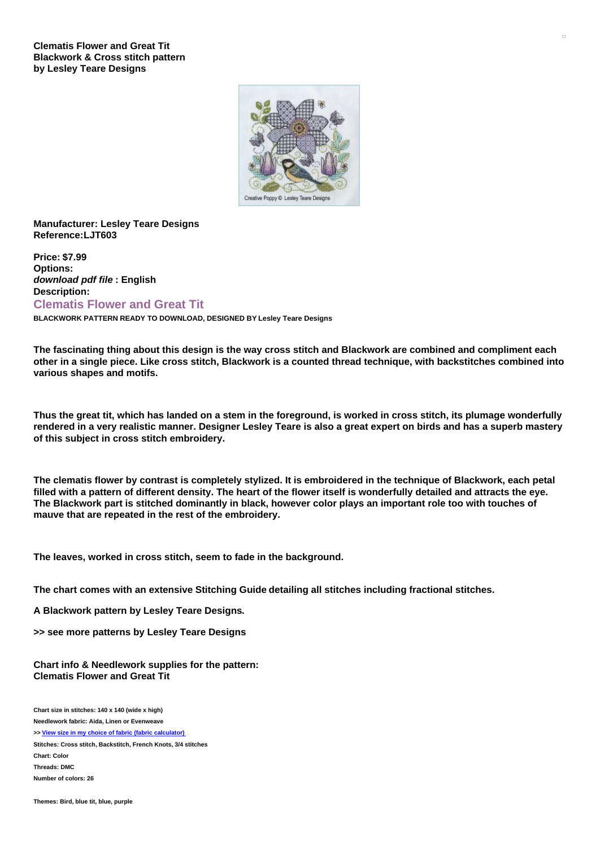

## **Manufacturer: Lesley Teare Designs Reference:LJT603**

**Price: \$7.99 Options:** *download pdf file* **: English Description: Clematis Flower and Great Tit**

**BLACKWORK PATTERN READY TO DOWNLOAD, DESIGNED BY Lesley Teare Designs**

The fascinating thing about this design is the way cross stitch and Blackwork are combined and compliment each other in a single piece. Like cross stitch, Blackwork is a counted thread technique, with backstitches combined into **various shapes and motifs.**

Thus the great tit, which has landed on a stem in the foreground, is worked in cross stitch, its plumage wonderfully rendered in a very realistic manner. Designer Lesley Teare is also a great expert on birds and has a superb mastery **of this subject in cross stitch embroidery.**

The clematis flower by contrast is completely stylized. It is embroidered in the technique of Blackwork, each petal filled with a pattern of different density. The heart of the flower itself is wonderfully detailed and attracts the eye. The Blackwork part is stitched dominantly in black, however color plays an important role too with touches of **mauve that are repeated in the rest of the embroidery.**

**The leaves, worked in cross stitch, seem to fade in the background.**

**The chart comes with an extensive Stitching Guide detailing all stitches including fractional stitches.**

**A Blackwork pattern by Lesley Teare Designs.**

**>> see more patterns by Lesley Teare Designs**

**Chart info & Needlework supplies for the pattern: Clematis Flower and Great Tit**

**Chart size in stitches: 140 x 140 (wide x high) Needlework fabric: Aida, Linen or Evenweave**

**>> View size in my choice of fabric (fabric [calculator\)](https://www.creativepoppypatterns.com/calculette-de-toile.php?products_id=2961&w=140&h=140)**

**Stitches: Cross stitch, Backstitch, French Knots, 3/4 stitches Chart: Color Threads: DMC Number of colors: 26**

**Themes: Bird, blue tit, blue, purple**